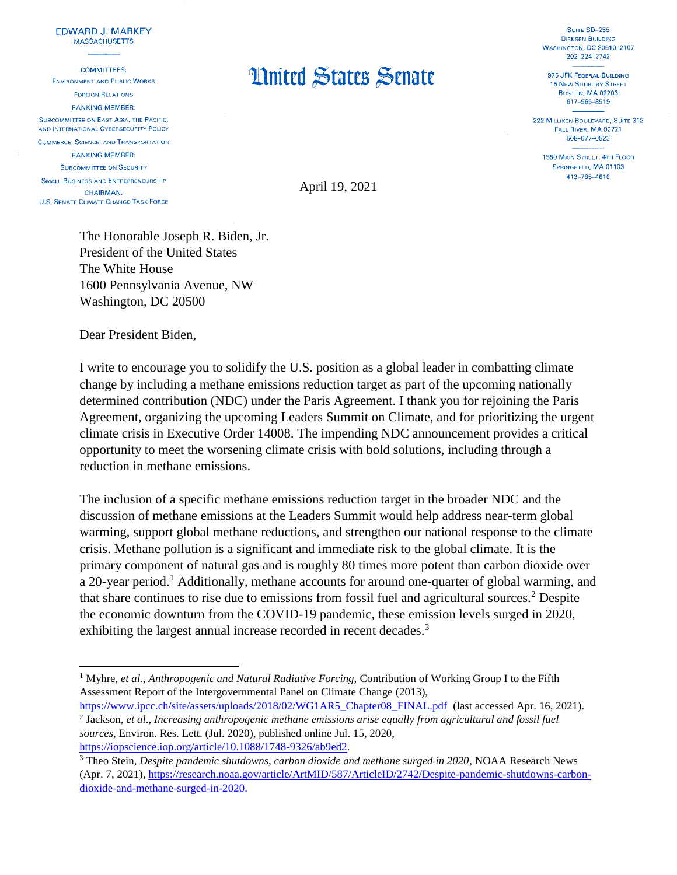## **EDWARD J. MARKEY MASSACHUSETTS**

**COMMITTEES: ENVIRONMENT AND PUBLIC WORKS FOREIGN RELATIONS RANKING MEMBER:** SUBCOMMITTEE ON EAST ASIA, THE PACIFIC. AND INTERNATIONAL CYBERSECURITY POLICY **COMMERCE, SCIENCE, AND TRANSPORTATION RANKING MEMBER: SUBCOMMITTEE ON SECURITY** 

**SMALL BUSINESS AND ENTREPRENEURSHIP CHAIRMAN: U.S. SENATE CLIMATE CHANGE TASK FORCE** 

 $\overline{\phantom{a}}$ 

## **Hnited States Senate**

SUITE SD-255 **DIRKSEN BUILDING WASHINGTON, DC 20510-2107** 202-224-2742

975 JFK FEDERAL BUILDING **15 NEW SUDBURY STREET BOSTON, MA 02203** 617-565-8519

222 MILLIKEN BOULEVARD, SUITE 312 FALL RIVER, MA 02721 508-677-0523

1550 MAIN STREET, 4TH FLOOR SPRINGFIELD, MA 01103 413-785-4610

April 19, 2021

The Honorable Joseph R. Biden, Jr. President of the United States The White House 1600 Pennsylvania Avenue, NW Washington, DC 20500

Dear President Biden,

I write to encourage you to solidify the U.S. position as a global leader in combatting climate change by including a methane emissions reduction target as part of the upcoming nationally determined contribution (NDC) under the Paris Agreement. I thank you for rejoining the Paris Agreement, organizing the upcoming Leaders Summit on Climate, and for prioritizing the urgent climate crisis in Executive Order 14008. The impending NDC announcement provides a critical opportunity to meet the worsening climate crisis with bold solutions, including through a reduction in methane emissions.

The inclusion of a specific methane emissions reduction target in the broader NDC and the discussion of methane emissions at the Leaders Summit would help address near-term global warming, support global methane reductions, and strengthen our national response to the climate crisis. Methane pollution is a significant and immediate risk to the global climate. It is the primary component of natural gas and is roughly 80 times more potent than carbon dioxide over a 20-year period.<sup>1</sup> Additionally, methane accounts for around one-quarter of global warming, and that share continues to rise due to emissions from fossil fuel and agricultural sources.<sup>2</sup> Despite the economic downturn from the COVID-19 pandemic, these emission levels surged in 2020, exhibiting the largest annual increase recorded in recent decades.<sup>3</sup>

<sup>1</sup> Myhre, *et al.*, *Anthropogenic and Natural Radiative Forcing,* Contribution of Working Group I to the Fifth Assessment Report of the Intergovernmental Panel on Climate Change (2013),

[https://www.ipcc.ch/site/assets/uploads/2018/02/WG1AR5\\_Chapter08\\_FINAL.pdf](https://www.ipcc.ch/site/assets/uploads/2018/02/WG1AR5_Chapter08_FINAL.pdf) (last accessed Apr. 16, 2021). 2 Jackson, *et al*., *Increasing anthropogenic methane emissions arise equally from agricultural and fossil fuel sources*, Environ. Res. Lett. (Jul. 2020), published online Jul. 15, 2020, [https://iopscience.iop.org/article/10.1088/1748-9326/ab9ed2.](https://iopscience.iop.org/article/10.1088/1748-9326/ab9ed2)

<sup>3</sup> Theo Stein, *Despite pandemic shutdowns, carbon dioxide and methane surged in 2020*, NOAA Research News (Apr. 7, 2021), [https://research.noaa.gov/article/ArtMID/587/ArticleID/2742/Despite-pandemic-shutdowns-carbon](https://research.noaa.gov/article/ArtMID/587/ArticleID/2742/Despite-pandemic-shutdowns-carbon-dioxide-and-methane-surged-in-2020)[dioxide-and-methane-surged-in-2020.](https://research.noaa.gov/article/ArtMID/587/ArticleID/2742/Despite-pandemic-shutdowns-carbon-dioxide-and-methane-surged-in-2020)